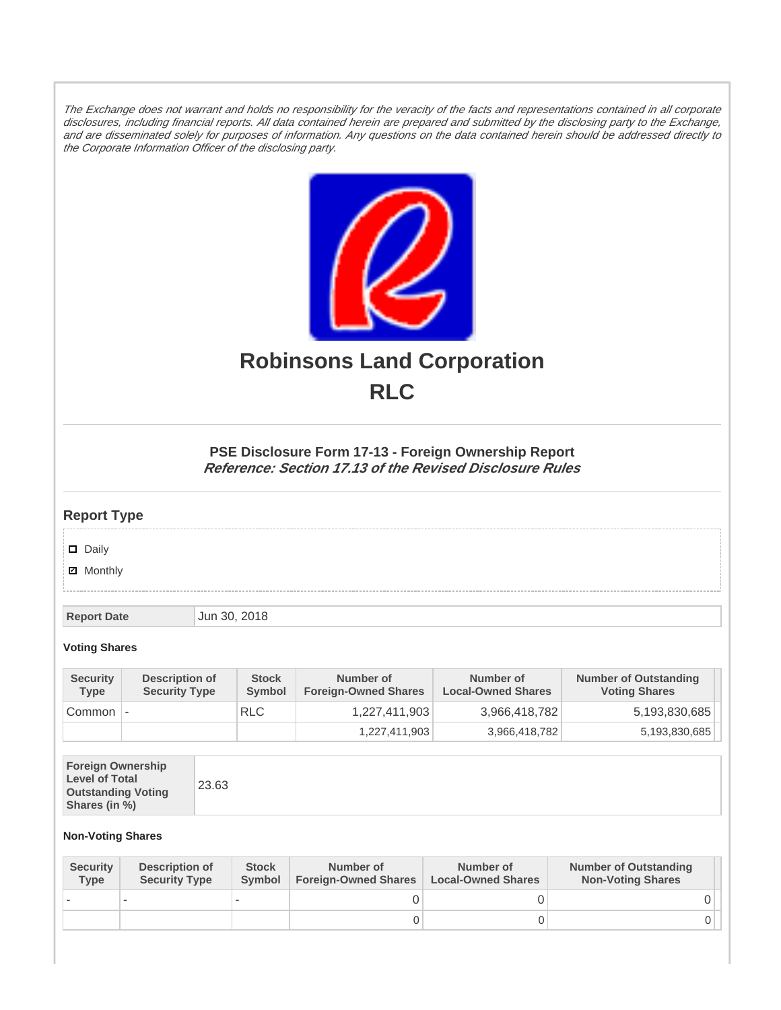The Exchange does not warrant and holds no responsibility for the veracity of the facts and representations contained in all corporate disclosures, including financial reports. All data contained herein are prepared and submitted by the disclosing party to the Exchange, and are disseminated solely for purposes of information. Any questions on the data contained herein should be addressed directly to the Corporate Information Officer of the disclosing party.



# **Robinsons Land Corporation RLC**

## **PSE Disclosure Form 17-13 - Foreign Ownership Report Reference: Section 17.13 of the Revised Disclosure Rules**

## **Report Type**

Daily

**Ø** Monthly

**Report Date Jun 30, 2018** 

#### **Voting Shares**

| <b>Security</b><br><b>Type</b> | Description of<br><b>Security Type</b> | <b>Stock</b><br><b>Symbol</b> | Number of<br><b>Foreign-Owned Shares</b> | Number of<br><b>Local-Owned Shares</b> | <b>Number of Outstanding</b><br><b>Voting Shares</b> |
|--------------------------------|----------------------------------------|-------------------------------|------------------------------------------|----------------------------------------|------------------------------------------------------|
| Common                         | $\overline{\phantom{a}}$               | <b>RLC</b>                    | 1,227,411,903                            | 3,966,418,782                          | 5,193,830,685                                        |
|                                |                                        |                               | 1,227,411,903                            | 3,966,418,782                          | 5,193,830,685                                        |

| <b>Foreign Ownership</b><br><b>Level of Total</b><br><b>Outstanding Voting</b><br>Shares (in %) |
|-------------------------------------------------------------------------------------------------|
|-------------------------------------------------------------------------------------------------|

### **Non-Voting Shares**

| <b>Security</b><br><b>Type</b> | Description of<br><b>Security Type</b> | <b>Stock</b><br><b>Symbol</b> | Number of<br><b>Foreign-Owned Shares</b> | Number of<br><b>Local-Owned Shares</b> | <b>Number of Outstanding</b><br><b>Non-Voting Shares</b> |
|--------------------------------|----------------------------------------|-------------------------------|------------------------------------------|----------------------------------------|----------------------------------------------------------|
|                                |                                        |                               |                                          |                                        |                                                          |
|                                |                                        |                               | O                                        |                                        |                                                          |